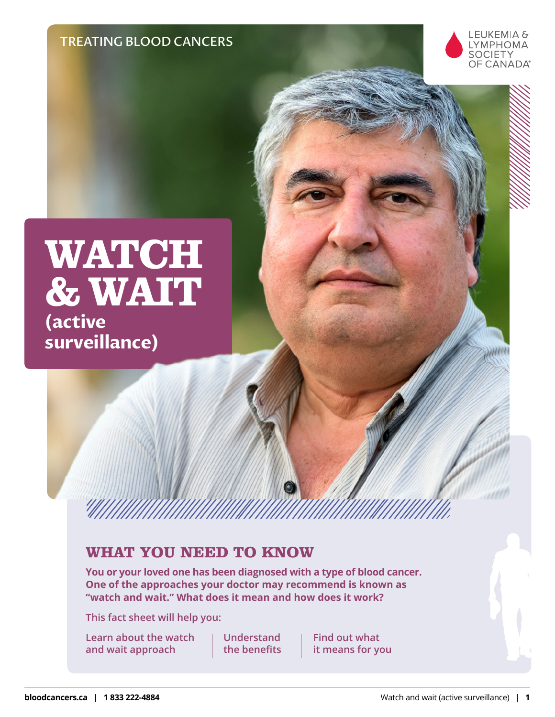TREATING BLOOD CANCERS



# **WATCH &WAIT (active**

**surveillance)** 

## **WHAT YOU NEED TO KNOW**

**You or your loved one has been diagnosed with a type of blood cancer. One of the approaches your doctor may recommend is known as "watch and wait." What does it mean and how does it work?**

**This fact sheet will help you:**

**Learn about the watch and wait approach**

**Understand the benefits**

**Find out what it means for you**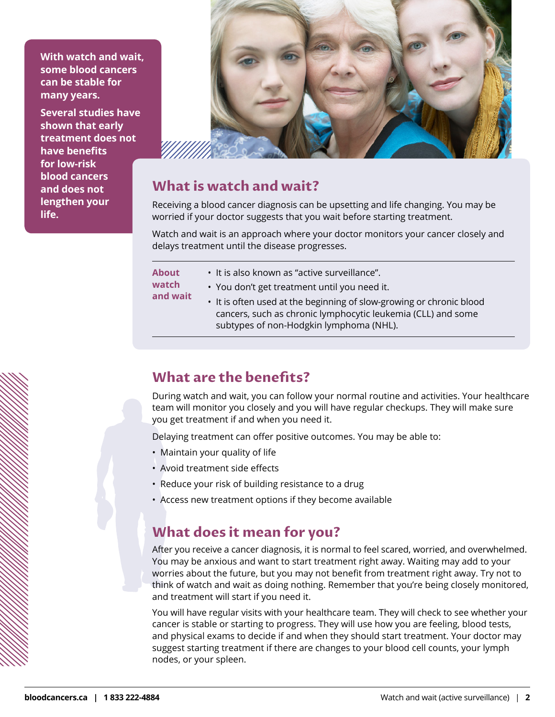**With watch and wait, some blood cancers can be stable for many years.**

**Several studies have shown that early treatment does not have benefits for low-risk blood cancers and does not lengthen your life.**



#### **What is watch and wait?**

Receiving a blood cancer diagnosis can be upsetting and life changing. You may be worried if your doctor suggests that you wait before starting treatment.

Watch and wait is an approach where your doctor monitors your cancer closely and delays treatment until the disease progresses.

| <b>About</b><br>watch<br>and wait | • It is also known as "active surveillance".                         |
|-----------------------------------|----------------------------------------------------------------------|
|                                   | . You don't get treatment until you need it.                         |
|                                   | • It is often used at the beginning of slow-growing or chronic blood |
|                                   | cancers, such as chronic lymphocytic leukemia (CLL) and some         |
|                                   | subtypes of non-Hodgkin lymphoma (NHL).                              |

### **What are the benefits?**

During watch and wait, you can follow your normal routine and activities. Your healthcare team will monitor you closely and you will have regular checkups. They will make sure you get treatment if and when you need it.

Delaying treatment can offer positive outcomes. You may be able to:

- Maintain your quality of life
- Avoid treatment side effects
- Reduce your risk of building resistance to a drug
- Access new treatment options if they become available

### **What does it mean for you?**

After you receive a cancer diagnosis, it is normal to feel scared, worried, and overwhelmed. You may be anxious and want to start treatment right away. Waiting may add to your worries about the future, but you may not benefit from treatment right away. Try not to think of watch and wait as doing nothing. Remember that you're being closely monitored, and treatment will start if you need it.

You will have regular visits with your healthcare team. They will check to see whether your cancer is stable or starting to progress. They will use how you are feeling, blood tests, and physical exams to decide if and when they should start treatment. Your doctor may suggest starting treatment if there are changes to your blood cell counts, your lymph nodes, or your spleen.